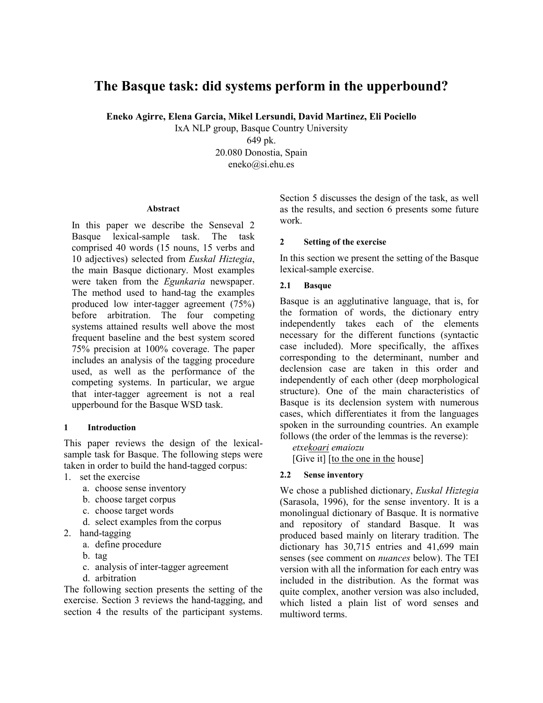# **The Basque task: did systems perform in the upperbound?**

**Eneko Agirre, Elena Garcia, Mikel Lersundi, David Martinez, Eli Pociello** 

IxA NLP group, Basque Country University

649 pk. 20.080 Donostia, Spain eneko@si.ehu.es

#### **Abstract**

In this paper we describe the Senseval 2 Basque lexical-sample task. The task comprised 40 words (15 nouns, 15 verbs and 10 adjectives) selected from *Euskal Hiztegia*, the main Basque dictionary. Most examples were taken from the *Egunkaria* newspaper. The method used to hand-tag the examples produced low inter-tagger agreement (75%) before arbitration. The four competing systems attained results well above the most frequent baseline and the best system scored 75% precision at 100% coverage. The paper includes an analysis of the tagging procedure used, as well as the performance of the competing systems. In particular, we argue that inter-tagger agreement is not a real upperbound for the Basque WSD task.

#### **1 Introduction**

This paper reviews the design of the lexicalsample task for Basque. The following steps were taken in order to build the hand-tagged corpus:

- 1. set the exercise
	- a. choose sense inventory
	- b. choose target corpus
	- c. choose target words
	- d. select examples from the corpus
- 2. hand-tagging
	- a. define procedure
	- b. tag
	- c. analysis of inter-tagger agreement
	- d. arbitration

The following section presents the setting of the exercise. Section 3 reviews the hand-tagging, and section 4 the results of the participant systems. Section 5 discusses the design of the task, as well as the results, and section 6 presents some future work.

## **2 Setting of the exercise**

In this section we present the setting of the Basque lexical-sample exercise.

## **2.1 Basque**

Basque is an agglutinative language, that is, for the formation of words, the dictionary entry independently takes each of the elements necessary for the different functions (syntactic case included). More specifically, the affixes corresponding to the determinant, number and declension case are taken in this order and independently of each other (deep morphological structure). One of the main characteristics of Basque is its declension system with numerous cases, which differentiates it from the languages spoken in the surrounding countries. An example follows (the order of the lemmas is the reverse):

*etxekoari emaiozu*

[Give it] [to the one in the house]

#### **2.2 Sense inventory**

We chose a published dictionary, *Euskal Hiztegia*  (Sarasola, 1996), for the sense inventory. It is a monolingual dictionary of Basque. It is normative and repository of standard Basque. It was produced based mainly on literary tradition. The dictionary has 30,715 entries and 41,699 main senses (see comment on *nuances* below). The TEI version with all the information for each entry was included in the distribution. As the format was quite complex, another version was also included, which listed a plain list of word senses and multiword terms.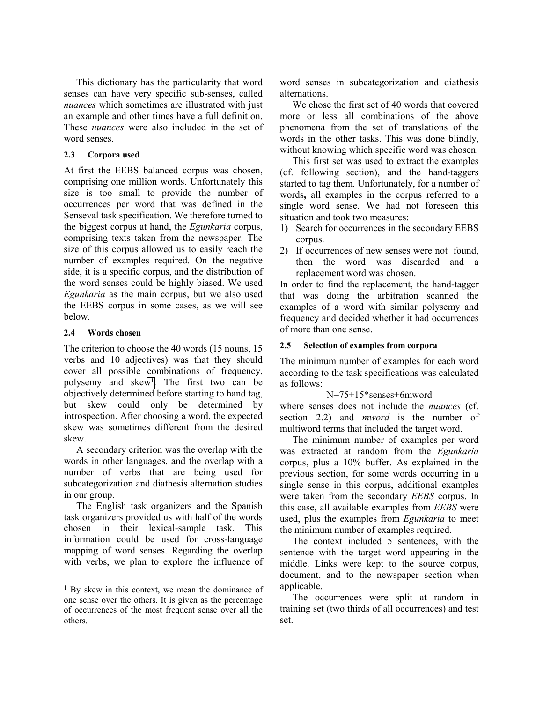This dictionary has the particularity that word senses can have very specific sub-senses, called *nuances* which sometimes are illustrated with just an example and other times have a full definition. These *nuances* were also included in the set of word senses.

# **2.3 Corpora used**

At first the EEBS balanced corpus was chosen, comprising one million words. Unfortunately this size is too small to provide the number of occurrences per word that was defined in the Senseval task specification. We therefore turned to the biggest corpus at hand, the *Egunkaria* corpus, comprising texts taken from the newspaper. The size of this corpus allowed us to easily reach the number of examples required. On the negative side, it is a specific corpus, and the distribution of the word senses could be highly biased. We used *Egunkaria* as the main corpus, but we also used the EEBS corpus in some cases, as we will see below.

## **2.4 Words chosen**

l

The criterion to choose the 40 words (15 nouns, 15 verbs and 10 adjectives) was that they should cover all possible combinations of frequency, polysemy and skew1. The first two can be objectively determined before starting to hand tag, but skew could only be determined by introspection. After choosing a word, the expected skew was sometimes different from the desired skew.

A secondary criterion was the overlap with the words in other languages, and the overlap with a number of verbs that are being used for subcategorization and diathesis alternation studies in our group.

The English task organizers and the Spanish task organizers provided us with half of the words chosen in their lexical-sample task. This information could be used for cross-language mapping of word senses. Regarding the overlap with verbs, we plan to explore the influence of

word senses in subcategorization and diathesis alternations.

We chose the first set of 40 words that covered more or less all combinations of the above phenomena from the set of translations of the words in the other tasks. This was done blindly, without knowing which specific word was chosen.

This first set was used to extract the examples (cf. following section), and the hand-taggers started to tag them. Unfortunately, for a number of words**,** all examples in the corpus referred to a single word sense. We had not foreseen this situation and took two measures:

- 1) Search for occurrences in the secondary EEBS corpus.
- 2) If occurrences of new senses were not found, then the word was discarded and a replacement word was chosen.

In order to find the replacement, the hand-tagger that was doing the arbitration scanned the examples of a word with similar polysemy and frequency and decided whether it had occurrences of more than one sense.

# **2.5 Selection of examples from corpora**

The minimum number of examples for each word according to the task specifications was calculated as follows:

# N=75+15\*senses+6mword

where senses does not include the *nuances* (cf. section 2.2) and *mword* is the number of multiword terms that included the target word.

The minimum number of examples per word was extracted at random from the *Egunkaria*  corpus, plus a 10% buffer. As explained in the previous section, for some words occurring in a single sense in this corpus, additional examples were taken from the secondary *EEBS* corpus. In this case, all available examples from *EEBS* were used, plus the examples from *Egunkaria* to meet the minimum number of examples required.

The context included 5 sentences, with the sentence with the target word appearing in the middle. Links were kept to the source corpus, document, and to the newspaper section when applicable.

<sup>1</sup> By skew in this context, we mean the dominance of one sense over the others. It is given as the percentage of occurrences of the most frequent sense over all the others.

The occurrences were split at random in training set (two thirds of all occurrences) and test set.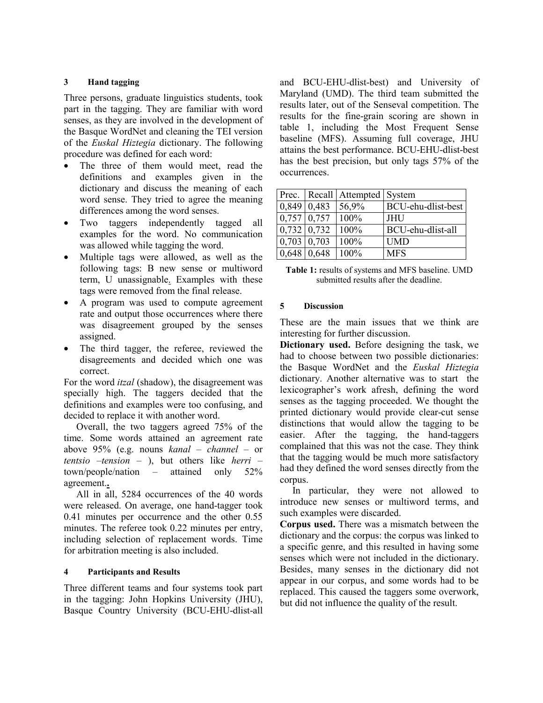### **3 Hand tagging**

Three persons, graduate linguistics students, took part in the tagging. They are familiar with word senses, as they are involved in the development of the Basque WordNet and cleaning the TEI version of the *Euskal Hiztegia* dictionary. The following procedure was defined for each word:

- The three of them would meet, read the definitions and examples given in the dictionary and discuss the meaning of each word sense. They tried to agree the meaning differences among the word senses.
- Two taggers independently tagged all examples for the word. No communication was allowed while tagging the word.
- Multiple tags were allowed, as well as the following tags: B new sense or multiword term, U unassignable. Examples with these tags were removed from the final release.
- A program was used to compute agreement rate and output those occurrences where there was disagreement grouped by the senses assigned.
- The third tagger, the referee, reviewed the disagreements and decided which one was correct.

For the word *itzal* (shadow), the disagreement was specially high. The taggers decided that the definitions and examples were too confusing, and decided to replace it with another word.

Overall, the two taggers agreed 75% of the time. Some words attained an agreement rate above 95% (e.g. nouns *kanal – channel –* or *tentsio* –*tension* – ), but others like *herri* – town/people/nation – attained only 52% agreement.**.**

All in all, 5284 occurrences of the 40 words were released. On average, one hand-tagger took 0.41 minutes per occurrence and the other 0.55 minutes. The referee took 0.22 minutes per entry, including selection of replacement words. Time for arbitration meeting is also included.

#### **4 Participants and Results**

Three different teams and four systems took part in the tagging: John Hopkins University (JHU), Basque Country University (BCU-EHU-dlist-all and BCU-EHU-dlist-best) and University of Maryland (UMD). The third team submitted the results later, out of the Senseval competition. The results for the fine-grain scoring are shown in table 1, including the Most Frequent Sense baseline (MFS). Assuming full coverage, JHU attains the best performance. BCU-EHU-dlist-best has the best precision, but only tags 57% of the occurrences.

|                    | Prec.   Recall   Attempted   System |                    |
|--------------------|-------------------------------------|--------------------|
| $0,849$ 0.483      | 56,9%                               | BCU-ehu-dlist-best |
| $0,757$ 0.757      | 100%                                | <b>JHU</b>         |
| $0,732$ 0.732      | 100%                                | BCU-ehu-dlist-all  |
| $0,703 \mid 0,703$ | 100%                                | <b>UMD</b>         |
| $0,648$ 0.648      | 100%                                | <b>MFS</b>         |

**Table 1:** results of systems and MFS baseline. UMD submitted results after the deadline.

#### **5 Discussion**

These are the main issues that we think are interesting for further discussion.

**Dictionary used.** Before designing the task, we had to choose between two possible dictionaries: the Basque WordNet and the *Euskal Hiztegia*  dictionary. Another alternative was to start the lexicographer's work afresh, defining the word senses as the tagging proceeded. We thought the printed dictionary would provide clear-cut sense distinctions that would allow the tagging to be easier. After the tagging, the hand-taggers complained that this was not the case. They think that the tagging would be much more satisfactory had they defined the word senses directly from the corpus.

In particular, they were not allowed to introduce new senses or multiword terms, and such examples were discarded.

**Corpus used.** There was a mismatch between the dictionary and the corpus: the corpus was linked to a specific genre, and this resulted in having some senses which were not included in the dictionary. Besides, many senses in the dictionary did not appear in our corpus, and some words had to be replaced. This caused the taggers some overwork, but did not influence the quality of the result.